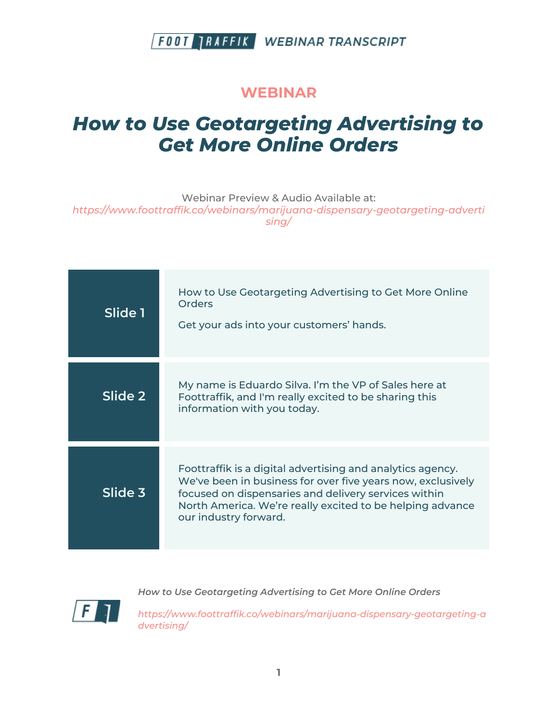#### **WEBINAR**

# *How to Use Geotargeting Advertising to Get More Online Orders*

Webinar Preview & Audio Available at: *https://www.foottraffik.co/webinars/marijuana-dispensary-geotargeting-adverti sing/*

| Slide 1 | How to Use Geotargeting Advertising to Get More Online<br>Orders<br>Get your ads into your customers' hands.                                                                                                                                                            |
|---------|-------------------------------------------------------------------------------------------------------------------------------------------------------------------------------------------------------------------------------------------------------------------------|
| Slide 2 | My name is Eduardo Silva. I'm the VP of Sales here at<br>Foottraffik, and I'm really excited to be sharing this<br>information with you today.                                                                                                                          |
| Slide 3 | Foottraffik is a digital advertising and analytics agency.<br>We've been in business for over five years now, exclusively<br>focused on dispensaries and delivery services within<br>North America. We're really excited to be helping advance<br>our industry forward. |



*How to Use Geotargeting Advertising to Get More Online Orders*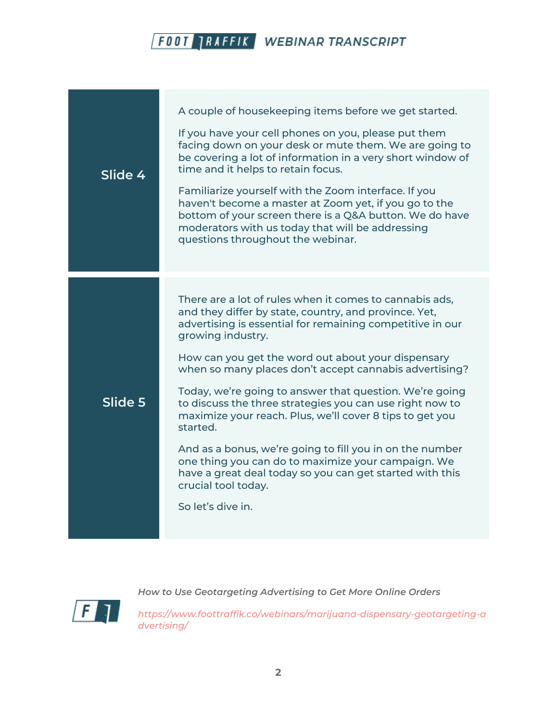| Slide 4 | A couple of housekeeping items before we get started.<br>If you have your cell phones on you, please put them<br>facing down on your desk or mute them. We are going to<br>be covering a lot of information in a very short window of<br>time and it helps to retain focus.<br>Familiarize yourself with the Zoom interface. If you<br>haven't become a master at Zoom yet, if you go to the<br>bottom of your screen there is a Q&A button. We do have<br>moderators with us today that will be addressing<br>questions throughout the webinar.                                                                                                                                                                                            |
|---------|---------------------------------------------------------------------------------------------------------------------------------------------------------------------------------------------------------------------------------------------------------------------------------------------------------------------------------------------------------------------------------------------------------------------------------------------------------------------------------------------------------------------------------------------------------------------------------------------------------------------------------------------------------------------------------------------------------------------------------------------|
|         |                                                                                                                                                                                                                                                                                                                                                                                                                                                                                                                                                                                                                                                                                                                                             |
| Slide 5 | There are a lot of rules when it comes to cannabis ads,<br>and they differ by state, country, and province. Yet,<br>advertising is essential for remaining competitive in our<br>growing industry.<br>How can you get the word out about your dispensary<br>when so many places don't accept cannabis advertising?<br>Today, we're going to answer that question. We're going<br>to discuss the three strategies you can use right now to<br>maximize your reach. Plus, we'll cover 8 tips to get you<br>started.<br>And as a bonus, we're going to fill you in on the number<br>one thing you can do to maximize your campaign. We<br>have a great deal today so you can get started with this<br>crucial tool today.<br>So let's dive in. |



*How to Use Geotargeting Advertising to Get More Online Orders*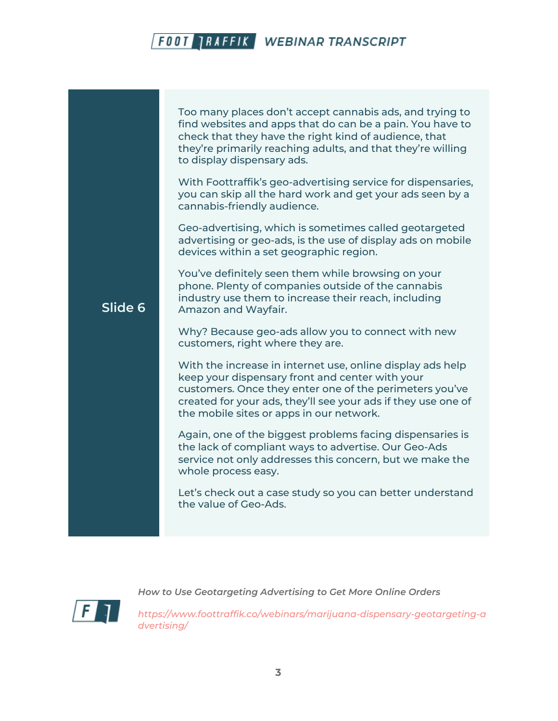**Slide 6** Too many places don't accept cannabis ads, and trying to find websites and apps that do can be a pain. You have to check that they have the right kind of audience, that they're primarily reaching adults, and that they're willing to display dispensary ads. With Foottraffik's geo-advertising service for dispensaries, you can skip all the hard work and get your ads seen by a cannabis-friendly audience. Geo-advertising, which is sometimes called geotargeted advertising or geo-ads, is the use of display ads on mobile devices within a set geographic region. You've definitely seen them while browsing on your phone. Plenty of companies outside of the cannabis industry use them to increase their reach, including Amazon and Wayfair. Why? Because geo-ads allow you to connect with new customers, right where they are. With the increase in internet use, online display ads help keep your dispensary front and center with your customers. Once they enter one of the perimeters you've created for your ads, they'll see your ads if they use one of the mobile sites or apps in our network. Again, one of the biggest problems facing dispensaries is the lack of compliant ways to advertise. Our Geo-Ads service not only addresses this concern, but we make the whole process easy. Let's check out a case study so you can better understand the value of Geo-Ads.



*How to Use Geotargeting Advertising to Get More Online Orders*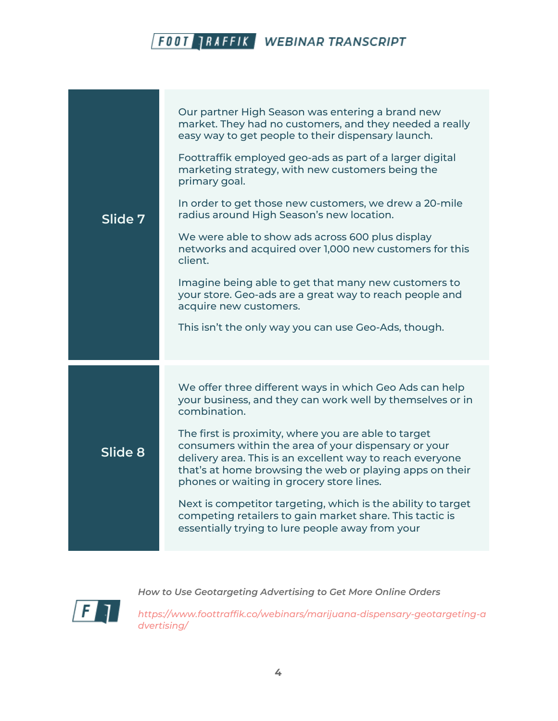| Slide 7 | Our partner High Season was entering a brand new<br>market. They had no customers, and they needed a really<br>easy way to get people to their dispensary launch.<br>Foottraffik employed geo-ads as part of a larger digital                                                      |
|---------|------------------------------------------------------------------------------------------------------------------------------------------------------------------------------------------------------------------------------------------------------------------------------------|
|         | marketing strategy, with new customers being the<br>primary goal.<br>In order to get those new customers, we drew a 20-mile<br>radius around High Season's new location.                                                                                                           |
|         | We were able to show ads across 600 plus display<br>networks and acquired over 1,000 new customers for this<br>client.                                                                                                                                                             |
|         | Imagine being able to get that many new customers to<br>your store. Geo-ads are a great way to reach people and<br>acquire new customers.                                                                                                                                          |
|         | This isn't the only way you can use Geo-Ads, though.                                                                                                                                                                                                                               |
| Slide 8 | We offer three different ways in which Geo Ads can help<br>your business, and they can work well by themselves or in<br>combination.                                                                                                                                               |
|         | The first is proximity, where you are able to target<br>consumers within the area of your dispensary or your<br>delivery area. This is an excellent way to reach everyone<br>that's at home browsing the web or playing apps on their<br>phones or waiting in grocery store lines. |
|         | Next is competitor targeting, which is the ability to target<br>competing retailers to gain market share. This tactic is<br>essentially trying to lure people away from your                                                                                                       |

 $\sqrt{F}$ 

*How to Use Geotargeting Advertising to Get More Online Orders*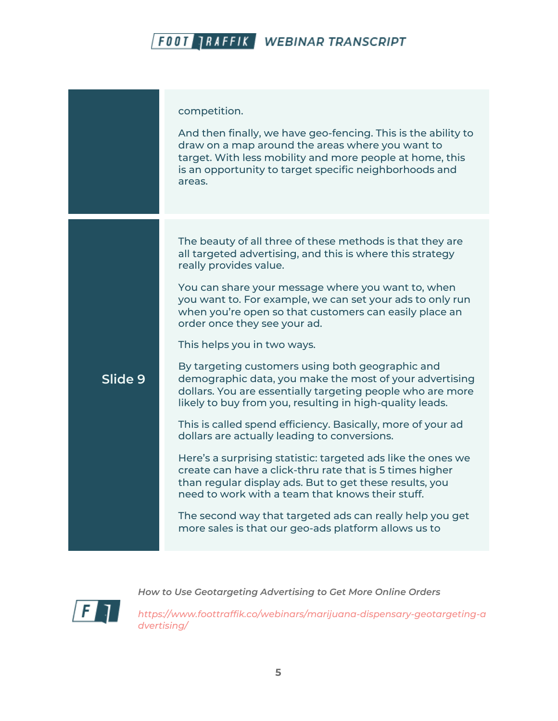|         | competition.<br>And then finally, we have geo-fencing. This is the ability to<br>draw on a map around the areas where you want to<br>target. With less mobility and more people at home, this<br>is an opportunity to target specific neighborhoods and<br>areas.                                                                                                                                                                                                                                                                                                                                                                                                                                                                                                                                                                                                                                                                                                                                                                                                                                                   |
|---------|---------------------------------------------------------------------------------------------------------------------------------------------------------------------------------------------------------------------------------------------------------------------------------------------------------------------------------------------------------------------------------------------------------------------------------------------------------------------------------------------------------------------------------------------------------------------------------------------------------------------------------------------------------------------------------------------------------------------------------------------------------------------------------------------------------------------------------------------------------------------------------------------------------------------------------------------------------------------------------------------------------------------------------------------------------------------------------------------------------------------|
| Slide 9 | The beauty of all three of these methods is that they are<br>all targeted advertising, and this is where this strategy<br>really provides value.<br>You can share your message where you want to, when<br>you want to. For example, we can set your ads to only run<br>when you're open so that customers can easily place an<br>order once they see your ad.<br>This helps you in two ways.<br>By targeting customers using both geographic and<br>demographic data, you make the most of your advertising<br>dollars. You are essentially targeting people who are more<br>likely to buy from you, resulting in high-quality leads.<br>This is called spend efficiency. Basically, more of your ad<br>dollars are actually leading to conversions.<br>Here's a surprising statistic: targeted ads like the ones we<br>create can have a click-thru rate that is 5 times higher<br>than regular display ads. But to get these results, you<br>need to work with a team that knows their stuff.<br>The second way that targeted ads can really help you get<br>more sales is that our geo-ads platform allows us to |

 $|F|$ 

*How to Use Geotargeting Advertising to Get More Online Orders*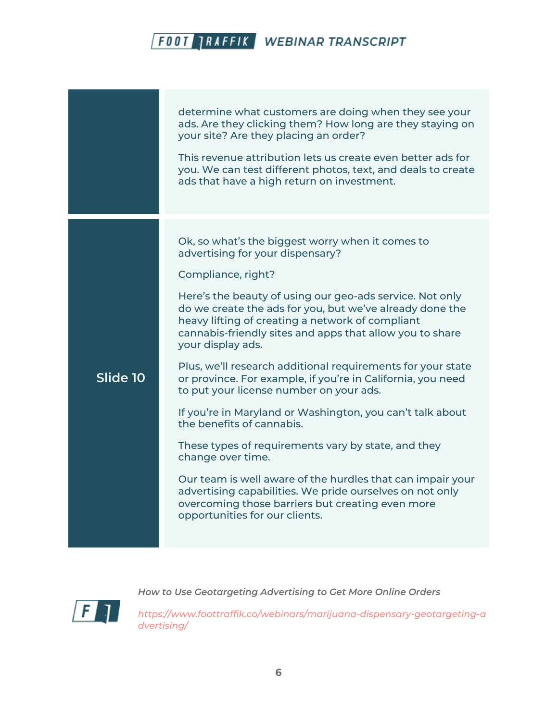|          | determine what customers are doing when they see your<br>ads. Are they clicking them? How long are they staying on<br>your site? Are they placing an order?<br>This revenue attribution lets us create even better ads for<br>you. We can test different photos, text, and deals to create<br>ads that have a high return on investment.                                                                                                                                                                                                                                                                                                                                                                                                                                                                                                                                                                                               |
|----------|----------------------------------------------------------------------------------------------------------------------------------------------------------------------------------------------------------------------------------------------------------------------------------------------------------------------------------------------------------------------------------------------------------------------------------------------------------------------------------------------------------------------------------------------------------------------------------------------------------------------------------------------------------------------------------------------------------------------------------------------------------------------------------------------------------------------------------------------------------------------------------------------------------------------------------------|
| Slide 10 | Ok, so what's the biggest worry when it comes to<br>advertising for your dispensary?<br>Compliance, right?<br>Here's the beauty of using our geo-ads service. Not only<br>do we create the ads for you, but we've already done the<br>heavy lifting of creating a network of compliant<br>cannabis-friendly sites and apps that allow you to share<br>your display ads.<br>Plus, we'll research additional requirements for your state<br>or province. For example, if you're in California, you need<br>to put your license number on your ads.<br>If you're in Maryland or Washington, you can't talk about<br>the benefits of cannabis.<br>These types of requirements vary by state, and they<br>change over time.<br>Our team is well aware of the hurdles that can impair your<br>advertising capabilities. We pride ourselves on not only<br>overcoming those barriers but creating even more<br>opportunities for our clients. |



*How to Use Geotargeting Advertising to Get More Online Orders*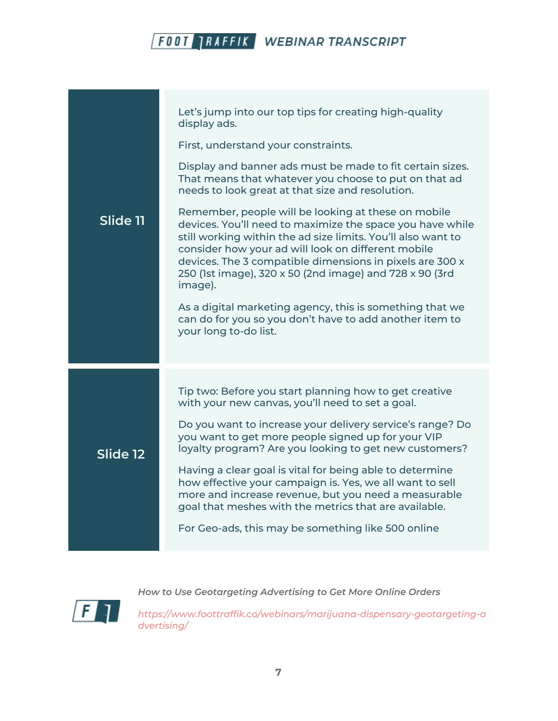| Slide 11 | Let's jump into our top tips for creating high-quality<br>display ads.<br>First, understand your constraints.                                                                                                                                                                                                                                                            |
|----------|--------------------------------------------------------------------------------------------------------------------------------------------------------------------------------------------------------------------------------------------------------------------------------------------------------------------------------------------------------------------------|
|          | Display and banner ads must be made to fit certain sizes.<br>That means that whatever you choose to put on that ad<br>needs to look great at that size and resolution.                                                                                                                                                                                                   |
|          | Remember, people will be looking at these on mobile<br>devices. You'll need to maximize the space you have while<br>still working within the ad size limits. You'll also want to<br>consider how your ad will look on different mobile<br>devices. The 3 compatible dimensions in pixels are 300 x<br>250 (1st image), 320 x 50 (2nd image) and 728 x 90 (3rd<br>image). |
|          | As a digital marketing agency, this is something that we<br>can do for you so you don't have to add another item to<br>your long to-do list.                                                                                                                                                                                                                             |
| Slide 12 | Tip two: Before you start planning how to get creative<br>with your new canvas, you'll need to set a goal.                                                                                                                                                                                                                                                               |
|          | Do you want to increase your delivery service's range? Do<br>you want to get more people signed up for your VIP<br>loyalty program? Are you looking to get new customers?                                                                                                                                                                                                |
|          | Having a clear goal is vital for being able to determine<br>how effective your campaign is. Yes, we all want to sell<br>more and increase revenue, but you need a measurable<br>goal that meshes with the metrics that are available.                                                                                                                                    |
|          | For Geo-ads, this may be something like 500 online                                                                                                                                                                                                                                                                                                                       |

 $\sqrt{F}$ 

*How to Use Geotargeting Advertising to Get More Online Orders*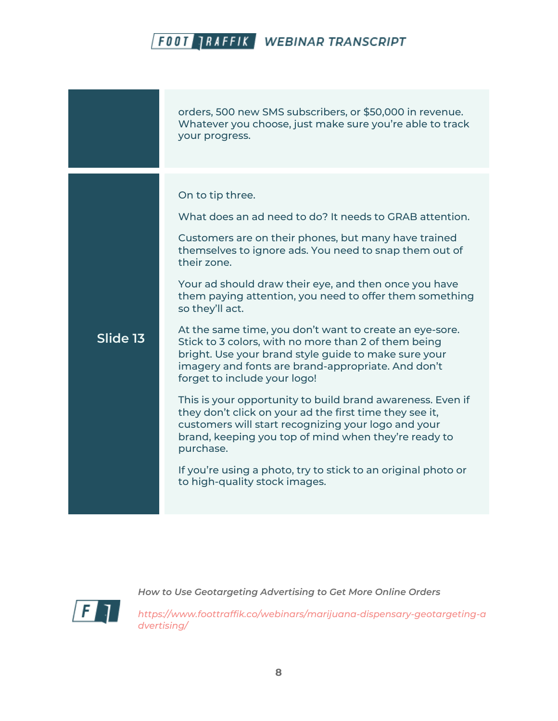|          | orders, 500 new SMS subscribers, or \$50,000 in revenue.<br>Whatever you choose, just make sure you're able to track<br>your progress.                                                                                                                                                                                                                                                                                                                                                                                                                                                                                                                                                                                                                                                                                                                                                                                                                                      |
|----------|-----------------------------------------------------------------------------------------------------------------------------------------------------------------------------------------------------------------------------------------------------------------------------------------------------------------------------------------------------------------------------------------------------------------------------------------------------------------------------------------------------------------------------------------------------------------------------------------------------------------------------------------------------------------------------------------------------------------------------------------------------------------------------------------------------------------------------------------------------------------------------------------------------------------------------------------------------------------------------|
| Slide 13 | On to tip three.<br>What does an ad need to do? It needs to GRAB attention.<br>Customers are on their phones, but many have trained<br>themselves to ignore ads. You need to snap them out of<br>their zone.<br>Your ad should draw their eye, and then once you have<br>them paying attention, you need to offer them something<br>so they'll act.<br>At the same time, you don't want to create an eye-sore.<br>Stick to 3 colors, with no more than 2 of them being<br>bright. Use your brand style guide to make sure your<br>imagery and fonts are brand-appropriate. And don't<br>forget to include your logo!<br>This is your opportunity to build brand awareness. Even if<br>they don't click on your ad the first time they see it,<br>customers will start recognizing your logo and your<br>brand, keeping you top of mind when they're ready to<br>purchase.<br>If you're using a photo, try to stick to an original photo or<br>to high-quality stock images. |



*How to Use Geotargeting Advertising to Get More Online Orders*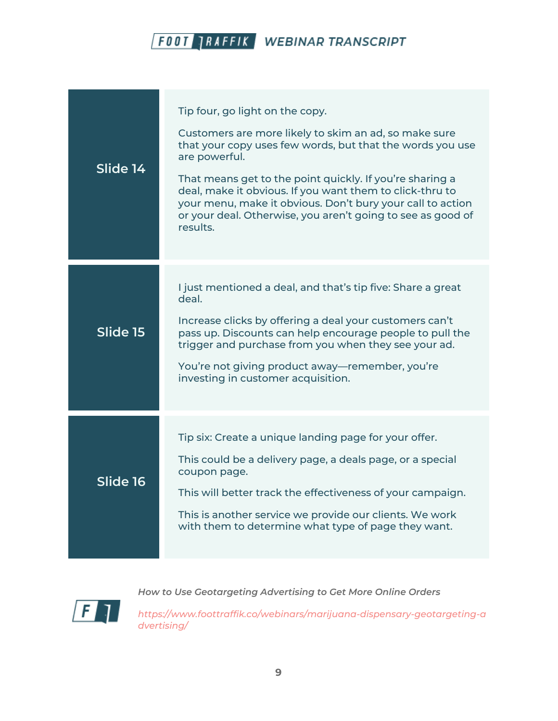| Slide 14 | Tip four, go light on the copy.<br>Customers are more likely to skim an ad, so make sure<br>that your copy uses few words, but that the words you use<br>are powerful.<br>That means get to the point quickly. If you're sharing a<br>deal, make it obvious. If you want them to click-thru to<br>your menu, make it obvious. Don't bury your call to action<br>or your deal. Otherwise, you aren't going to see as good of<br>results. |
|----------|-----------------------------------------------------------------------------------------------------------------------------------------------------------------------------------------------------------------------------------------------------------------------------------------------------------------------------------------------------------------------------------------------------------------------------------------|
| Slide 15 | I just mentioned a deal, and that's tip five: Share a great<br>deal.<br>Increase clicks by offering a deal your customers can't<br>pass up. Discounts can help encourage people to pull the<br>trigger and purchase from you when they see your ad.<br>You're not giving product away-remember, you're<br>investing in customer acquisition.                                                                                            |
| Slide 16 | Tip six: Create a unique landing page for your offer.<br>This could be a delivery page, a deals page, or a special<br>coupon page.<br>This will better track the effectiveness of your campaign.<br>This is another service we provide our clients. We work<br>with them to determine what type of page they want.                                                                                                                      |

*How to Use Geotargeting Advertising to Get More Online Orders*

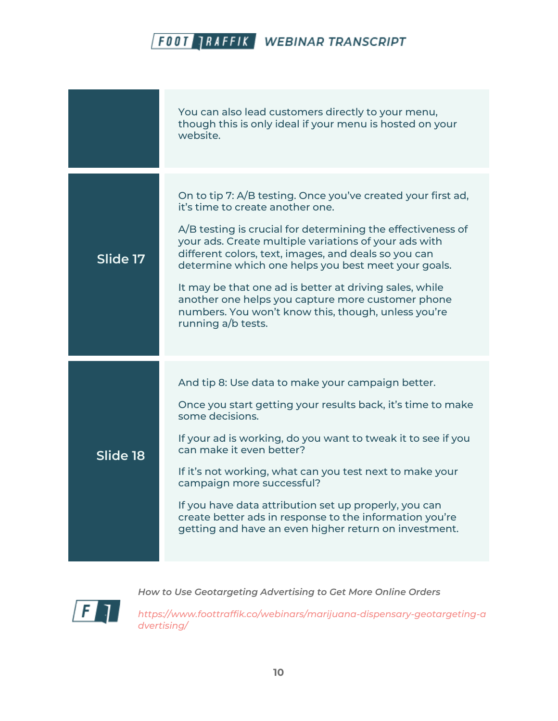| You can also lead customers directly to your menu,<br>though this is only ideal if your menu is hosted on your<br>website.                                                                                                                                                                                                                                                                                                                                                                                                           |
|--------------------------------------------------------------------------------------------------------------------------------------------------------------------------------------------------------------------------------------------------------------------------------------------------------------------------------------------------------------------------------------------------------------------------------------------------------------------------------------------------------------------------------------|
| On to tip 7: A/B testing. Once you've created your first ad,<br>it's time to create another one.<br>A/B testing is crucial for determining the effectiveness of<br>your ads. Create multiple variations of your ads with<br>different colors, text, images, and deals so you can<br>determine which one helps you best meet your goals.<br>It may be that one ad is better at driving sales, while<br>another one helps you capture more customer phone<br>numbers. You won't know this, though, unless you're<br>running a/b tests. |
| And tip 8: Use data to make your campaign better.<br>Once you start getting your results back, it's time to make<br>some decisions.<br>If your ad is working, do you want to tweak it to see if you<br>can make it even better?<br>If it's not working, what can you test next to make your<br>campaign more successful?<br>If you have data attribution set up properly, you can<br>create better ads in response to the information you're<br>getting and have an even higher return on investment.                                |
|                                                                                                                                                                                                                                                                                                                                                                                                                                                                                                                                      |

 $\overline{F}$ 

*How to Use Geotargeting Advertising to Get More Online Orders*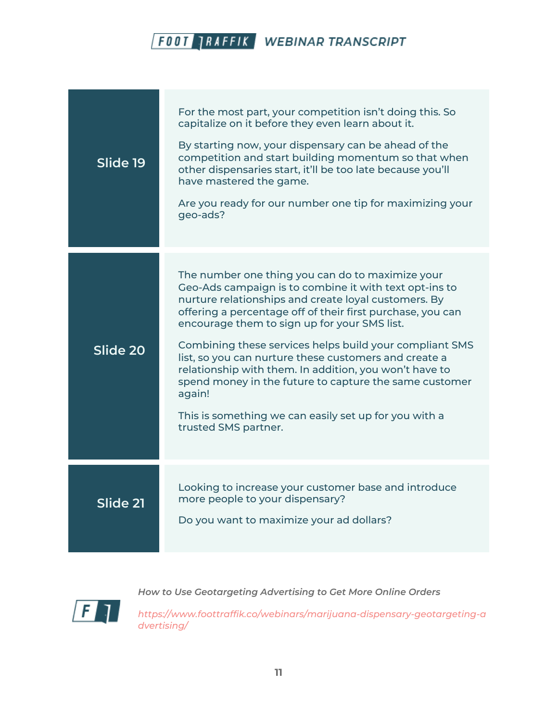| Slide 19 | For the most part, your competition isn't doing this. So<br>capitalize on it before they even learn about it.<br>By starting now, your dispensary can be ahead of the<br>competition and start building momentum so that when<br>other dispensaries start, it'll be too late because you'll<br>have mastered the game.<br>Are you ready for our number one tip for maximizing your<br>geo-ads?                                                                                                                                                                                                                      |
|----------|---------------------------------------------------------------------------------------------------------------------------------------------------------------------------------------------------------------------------------------------------------------------------------------------------------------------------------------------------------------------------------------------------------------------------------------------------------------------------------------------------------------------------------------------------------------------------------------------------------------------|
| Slide 20 | The number one thing you can do to maximize your<br>Geo-Ads campaign is to combine it with text opt-ins to<br>nurture relationships and create loyal customers. By<br>offering a percentage off of their first purchase, you can<br>encourage them to sign up for your SMS list.<br>Combining these services helps build your compliant SMS<br>list, so you can nurture these customers and create a<br>relationship with them. In addition, you won't have to<br>spend money in the future to capture the same customer<br>again!<br>This is something we can easily set up for you with a<br>trusted SMS partner. |
| Slide 21 | Looking to increase your customer base and introduce<br>more people to your dispensary?<br>Do you want to maximize your ad dollars?                                                                                                                                                                                                                                                                                                                                                                                                                                                                                 |

 $\sqrt{F}$ 

*How to Use Geotargeting Advertising to Get More Online Orders*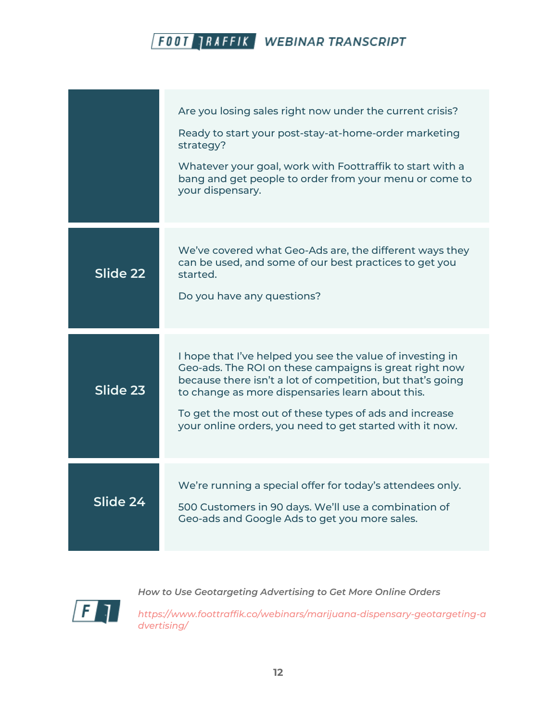|          | Are you losing sales right now under the current crisis?<br>Ready to start your post-stay-at-home-order marketing<br>strategy?<br>Whatever your goal, work with Foottraffik to start with a<br>bang and get people to order from your menu or come to<br>your dispensary.                                                                                   |
|----------|-------------------------------------------------------------------------------------------------------------------------------------------------------------------------------------------------------------------------------------------------------------------------------------------------------------------------------------------------------------|
| Slide 22 | We've covered what Geo-Ads are, the different ways they<br>can be used, and some of our best practices to get you<br>started.<br>Do you have any questions?                                                                                                                                                                                                 |
| Slide 23 | I hope that I've helped you see the value of investing in<br>Geo-ads. The ROI on these campaigns is great right now<br>because there isn't a lot of competition, but that's going<br>to change as more dispensaries learn about this.<br>To get the most out of these types of ads and increase<br>your online orders, you need to get started with it now. |
| Slide 24 | We're running a special offer for today's attendees only.<br>500 Customers in 90 days. We'll use a combination of<br>Geo-ads and Google Ads to get you more sales.                                                                                                                                                                                          |

 $\sqrt{F}$ 

*How to Use Geotargeting Advertising to Get More Online Orders*